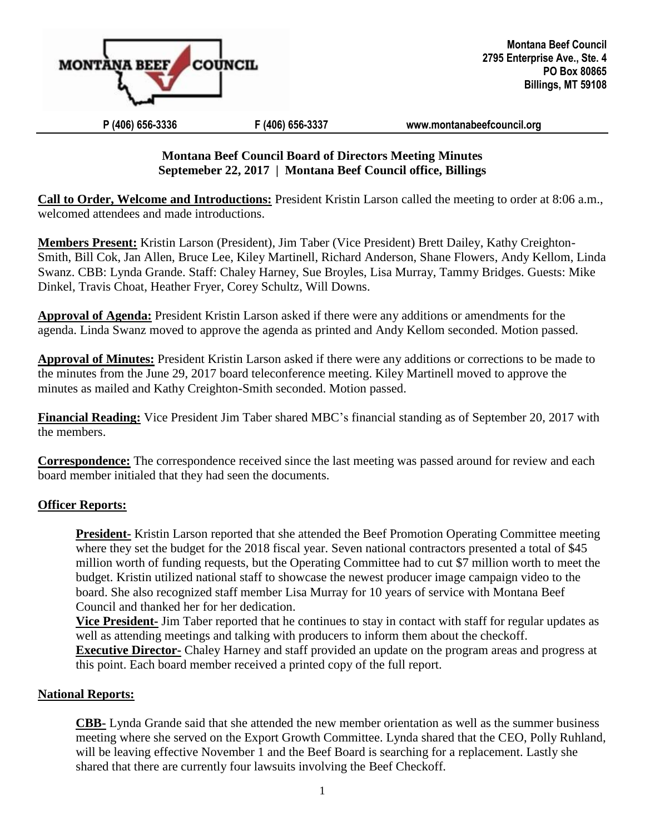

# **Montana Beef Council Board of Directors Meeting Minutes Septemeber 22, 2017 | Montana Beef Council office, Billings**

**Call to Order, Welcome and Introductions:** President Kristin Larson called the meeting to order at 8:06 a.m., welcomed attendees and made introductions.

**Members Present:** Kristin Larson (President), Jim Taber (Vice President) Brett Dailey, Kathy Creighton-Smith, Bill Cok, Jan Allen, Bruce Lee, Kiley Martinell, Richard Anderson, Shane Flowers, Andy Kellom, Linda Swanz. CBB: Lynda Grande. Staff: Chaley Harney, Sue Broyles, Lisa Murray, Tammy Bridges. Guests: Mike Dinkel, Travis Choat, Heather Fryer, Corey Schultz, Will Downs.

**Approval of Agenda:** President Kristin Larson asked if there were any additions or amendments for the agenda. Linda Swanz moved to approve the agenda as printed and Andy Kellom seconded. Motion passed.

**Approval of Minutes:** President Kristin Larson asked if there were any additions or corrections to be made to the minutes from the June 29, 2017 board teleconference meeting. Kiley Martinell moved to approve the minutes as mailed and Kathy Creighton-Smith seconded. Motion passed.

**Financial Reading:** Vice President Jim Taber shared MBC's financial standing as of September 20, 2017 with the members.

**Correspondence:** The correspondence received since the last meeting was passed around for review and each board member initialed that they had seen the documents.

# **Officer Reports:**

**President-** Kristin Larson reported that she attended the Beef Promotion Operating Committee meeting where they set the budget for the 2018 fiscal year. Seven national contractors presented a total of \$45 million worth of funding requests, but the Operating Committee had to cut \$7 million worth to meet the budget. Kristin utilized national staff to showcase the newest producer image campaign video to the board. She also recognized staff member Lisa Murray for 10 years of service with Montana Beef Council and thanked her for her dedication.

**Vice President-** Jim Taber reported that he continues to stay in contact with staff for regular updates as well as attending meetings and talking with producers to inform them about the checkoff.

**Executive Director-** Chaley Harney and staff provided an update on the program areas and progress at this point. Each board member received a printed copy of the full report.

# **National Reports:**

**CBB-** Lynda Grande said that she attended the new member orientation as well as the summer business meeting where she served on the Export Growth Committee. Lynda shared that the CEO, Polly Ruhland, will be leaving effective November 1 and the Beef Board is searching for a replacement. Lastly she shared that there are currently four lawsuits involving the Beef Checkoff.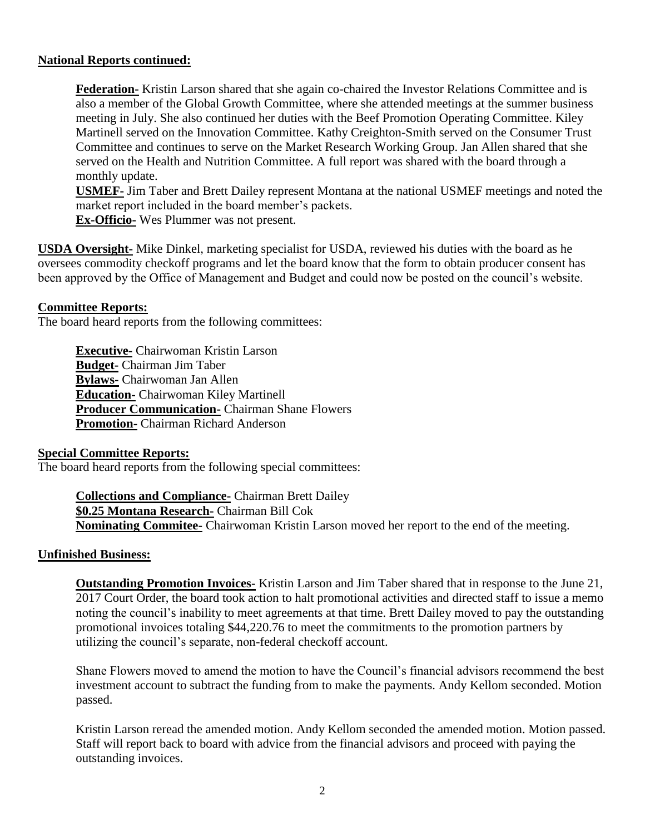#### **National Reports continued:**

**Federation-** Kristin Larson shared that she again co-chaired the Investor Relations Committee and is also a member of the Global Growth Committee, where she attended meetings at the summer business meeting in July. She also continued her duties with the Beef Promotion Operating Committee. Kiley Martinell served on the Innovation Committee. Kathy Creighton-Smith served on the Consumer Trust Committee and continues to serve on the Market Research Working Group. Jan Allen shared that she served on the Health and Nutrition Committee. A full report was shared with the board through a monthly update.

**USMEF-** Jim Taber and Brett Dailey represent Montana at the national USMEF meetings and noted the market report included in the board member's packets.

**Ex-Officio-** Wes Plummer was not present.

**USDA Oversight-** Mike Dinkel, marketing specialist for USDA, reviewed his duties with the board as he oversees commodity checkoff programs and let the board know that the form to obtain producer consent has been approved by the Office of Management and Budget and could now be posted on the council's website.

#### **Committee Reports:**

The board heard reports from the following committees:

**Executive-** Chairwoman Kristin Larson **Budget-** Chairman Jim Taber **Bylaws-** Chairwoman Jan Allen **Education-** Chairwoman Kiley Martinell **Producer Communication-** Chairman Shane Flowers **Promotion-** Chairman Richard Anderson

#### **Special Committee Reports:**

The board heard reports from the following special committees:

**Collections and Compliance-** Chairman Brett Dailey **\$0.25 Montana Research-** Chairman Bill Cok **Nominating Commitee-** Chairwoman Kristin Larson moved her report to the end of the meeting.

#### **Unfinished Business:**

**Outstanding Promotion Invoices-** Kristin Larson and Jim Taber shared that in response to the June 21, 2017 Court Order, the board took action to halt promotional activities and directed staff to issue a memo noting the council's inability to meet agreements at that time. Brett Dailey moved to pay the outstanding promotional invoices totaling \$44,220.76 to meet the commitments to the promotion partners by utilizing the council's separate, non-federal checkoff account.

Shane Flowers moved to amend the motion to have the Council's financial advisors recommend the best investment account to subtract the funding from to make the payments. Andy Kellom seconded. Motion passed.

Kristin Larson reread the amended motion. Andy Kellom seconded the amended motion. Motion passed. Staff will report back to board with advice from the financial advisors and proceed with paying the outstanding invoices.